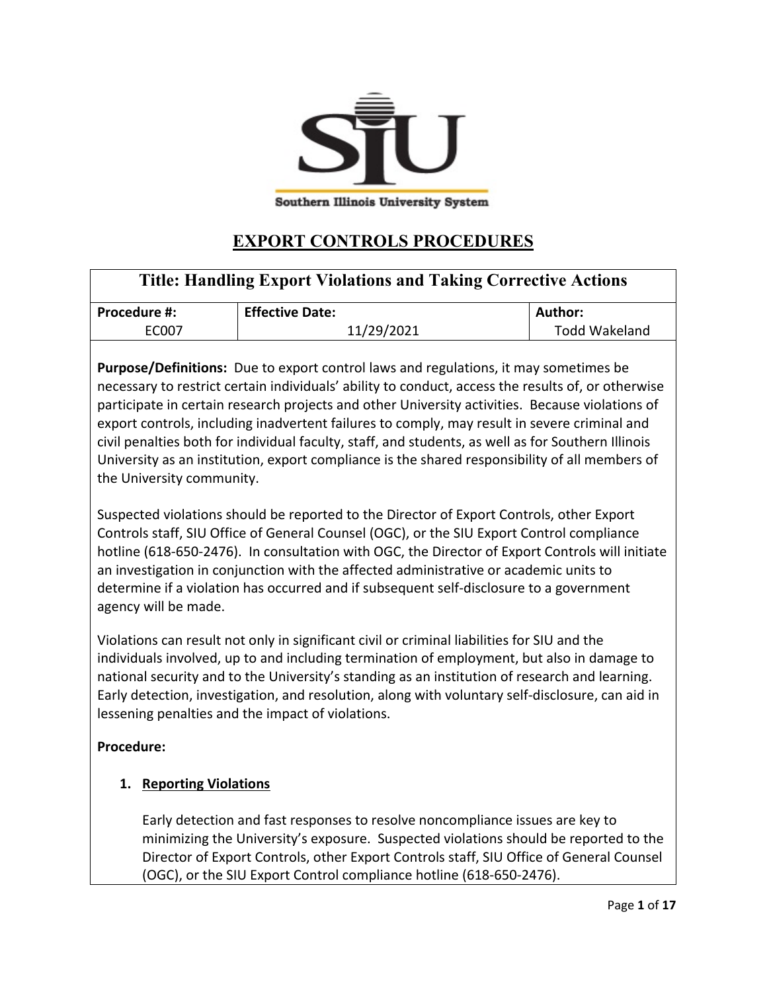

# **EXPORT CONTROLS PROCEDURES**

| <b>Title: Handling Export Violations and Taking Corrective Actions</b> |                        |                      |
|------------------------------------------------------------------------|------------------------|----------------------|
| <b>Procedure #:</b>                                                    | <b>Effective Date:</b> | Author:              |
| EC007                                                                  | 11/29/2021             | <b>Todd Wakeland</b> |

**Purpose/Definitions:** Due to export control laws and regulations, it may sometimes be necessary to restrict certain individuals' ability to conduct, access the results of, or otherwise participate in certain research projects and other University activities. Because violations of export controls, including inadvertent failures to comply, may result in severe criminal and civil penalties both for individual faculty, staff, and students, as well as for Southern Illinois University as an institution, export compliance is the shared responsibility of all members of the University community.

Suspected violations should be reported to the Director of Export Controls, other Export Controls staff, SIU Office of General Counsel (OGC), or the SIU Export Control compliance hotline (618-650-2476). In consultation with OGC, the Director of Export Controls will initiate an investigation in conjunction with the affected administrative or academic units to determine if a violation has occurred and if subsequent self-disclosure to a government agency will be made.

Violations can result not only in significant civil or criminal liabilities for SIU and the individuals involved, up to and including termination of employment, but also in damage to national security and to the University's standing as an institution of research and learning. Early detection, investigation, and resolution, along with voluntary self-disclosure, can aid in lessening penalties and the impact of violations.

# **Procedure:**

# **1. Reporting Violations**

Early detection and fast responses to resolve noncompliance issues are key to minimizing the University's exposure. Suspected violations should be reported to the Director of Export Controls, other Export Controls staff, SIU Office of General Counsel (OGC), or the SIU Export Control compliance hotline (618-650-2476).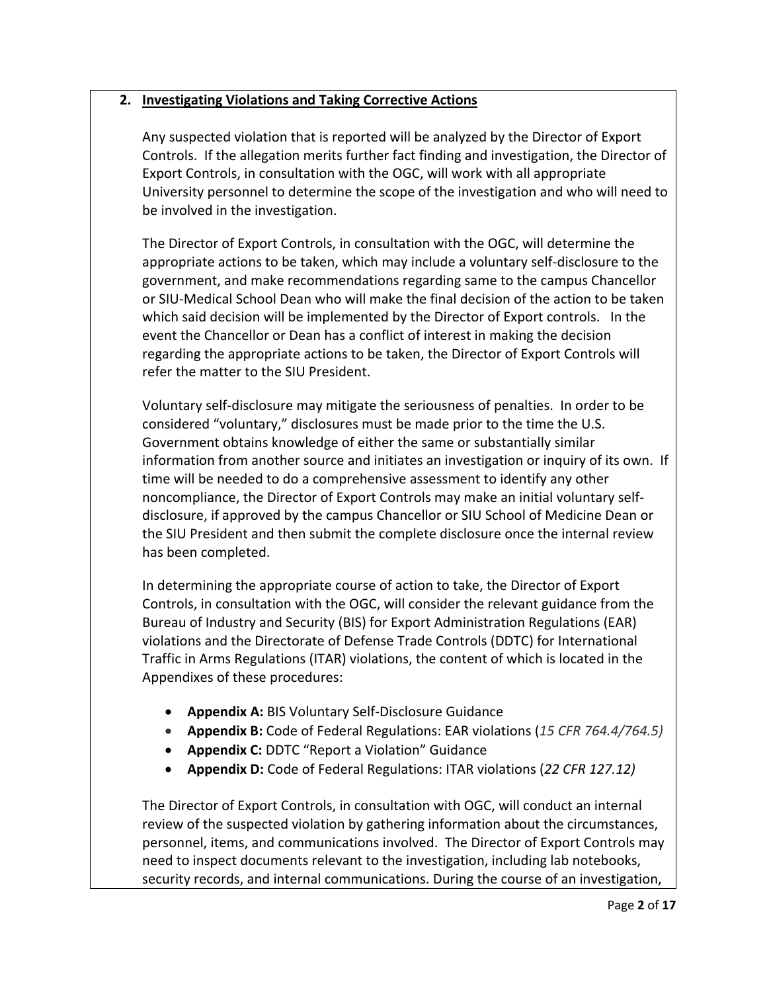# **2. Investigating Violations and Taking Corrective Actions**

Any suspected violation that is reported will be analyzed by the Director of Export Controls. If the allegation merits further fact finding and investigation, the Director of Export Controls, in consultation with the OGC, will work with all appropriate University personnel to determine the scope of the investigation and who will need to be involved in the investigation.

The Director of Export Controls, in consultation with the OGC, will determine the appropriate actions to be taken, which may include a voluntary self-disclosure to the government, and make recommendations regarding same to the campus Chancellor or SIU-Medical School Dean who will make the final decision of the action to be taken which said decision will be implemented by the Director of Export controls. In the event the Chancellor or Dean has a conflict of interest in making the decision regarding the appropriate actions to be taken, the Director of Export Controls will refer the matter to the SIU President.

Voluntary self-disclosure may mitigate the seriousness of penalties. In order to be considered "voluntary," disclosures must be made prior to the time the U.S. Government obtains knowledge of either the same or substantially similar information from another source and initiates an investigation or inquiry of its own. If time will be needed to do a comprehensive assessment to identify any other noncompliance, the Director of Export Controls may make an initial voluntary selfdisclosure, if approved by the campus Chancellor or SIU School of Medicine Dean or the SIU President and then submit the complete disclosure once the internal review has been completed.

In determining the appropriate course of action to take, the Director of Export Controls, in consultation with the OGC, will consider the relevant guidance from the Bureau of Industry and Security (BIS) for Export Administration Regulations (EAR) violations and the Directorate of Defense Trade Controls (DDTC) for International Traffic in Arms Regulations (ITAR) violations, the content of which is located in the Appendixes of these procedures:

- **Appendix A:** BIS Voluntary Self-Disclosure Guidance
- **Appendix B:** Code of Federal Regulations: EAR violations (*15 CFR 764.4/764.5)*
- **Appendix C:** DDTC "Report a Violation" Guidance
- **Appendix D:** Code of Federal Regulations: ITAR violations (*22 CFR 127.12)*

The Director of Export Controls, in consultation with OGC, will conduct an internal review of the suspected violation by gathering information about the circumstances, personnel, items, and communications involved. The Director of Export Controls may need to inspect documents relevant to the investigation, including lab notebooks, security records, and internal communications. During the course of an investigation,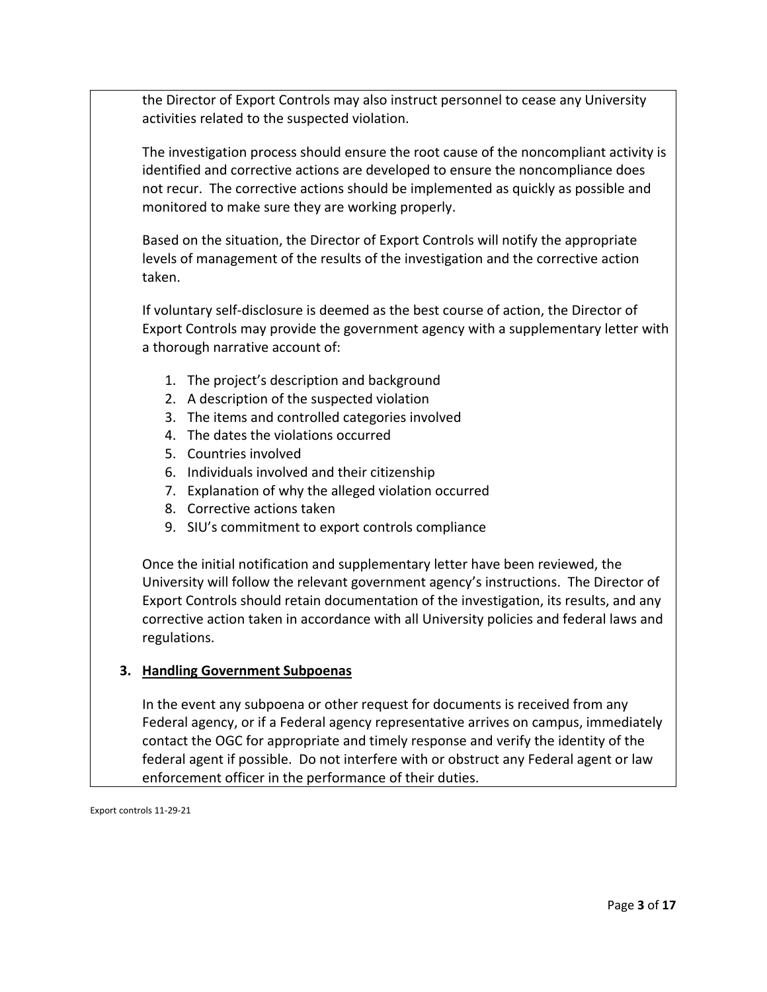the Director of Export Controls may also instruct personnel to cease any University activities related to the suspected violation.

The investigation process should ensure the root cause of the noncompliant activity is identified and corrective actions are developed to ensure the noncompliance does not recur. The corrective actions should be implemented as quickly as possible and monitored to make sure they are working properly.

Based on the situation, the Director of Export Controls will notify the appropriate levels of management of the results of the investigation and the corrective action taken.

If voluntary self-disclosure is deemed as the best course of action, the Director of Export Controls may provide the government agency with a supplementary letter with a thorough narrative account of:

- 1. The project's description and background
- 2. A description of the suspected violation
- 3. The items and controlled categories involved
- 4. The dates the violations occurred
- 5. Countries involved
- 6. Individuals involved and their citizenship
- 7. Explanation of why the alleged violation occurred
- 8. Corrective actions taken
- 9. SIU's commitment to export controls compliance

Once the initial notification and supplementary letter have been reviewed, the University will follow the relevant government agency's instructions. The Director of Export Controls should retain documentation of the investigation, its results, and any corrective action taken in accordance with all University policies and federal laws and regulations.

### **3. Handling Government Subpoenas**

In the event any subpoena or other request for documents is received from any Federal agency, or if a Federal agency representative arrives on campus, immediately contact the OGC for appropriate and timely response and verify the identity of the federal agent if possible. Do not interfere with or obstruct any Federal agent or law enforcement officer in the performance of their duties.

Export controls 11-29-21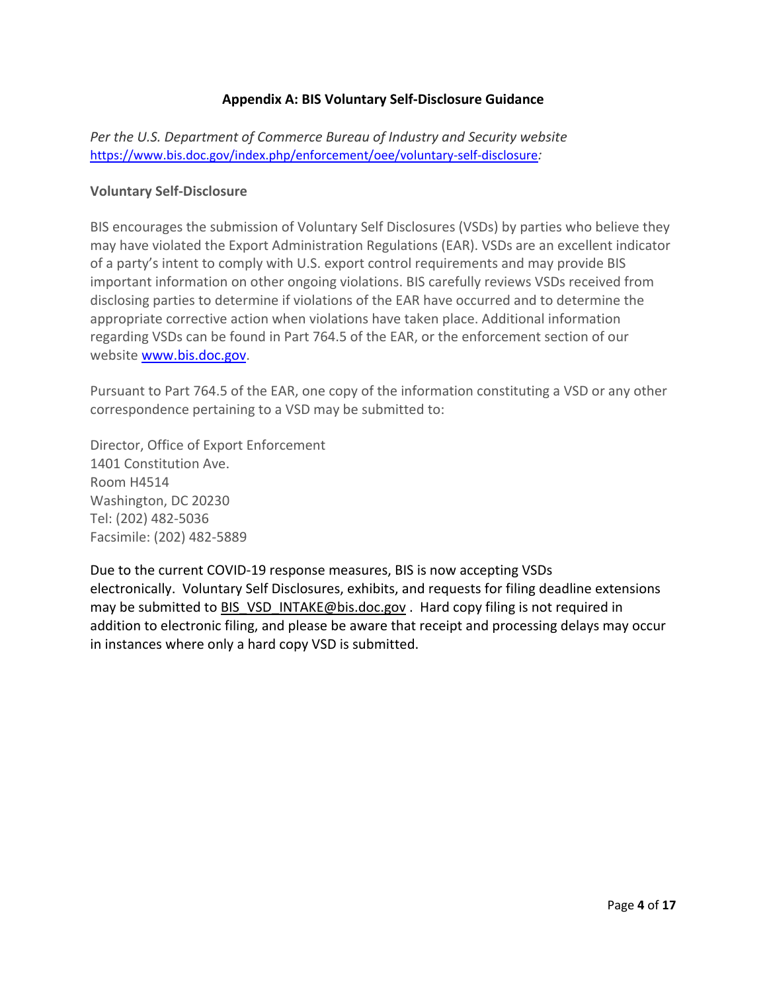### **Appendix A: BIS Voluntary Self-Disclosure Guidance**

*Per the U.S. Department of Commerce Bureau of Industry and Security website* <https://www.bis.doc.gov/index.php/enforcement/oee/voluntary-self-disclosure>*:*

### **Voluntary Self-Disclosure**

BIS encourages the submission of Voluntary Self Disclosures (VSDs) by parties who believe they may have violated the Export Administration Regulations (EAR). VSDs are an excellent indicator of a party's intent to comply with U.S. export control requirements and may provide BIS important information on other ongoing violations. BIS carefully reviews VSDs received from disclosing parties to determine if violations of the EAR have occurred and to determine the appropriate corrective action when violations have taken place. Additional information regarding VSDs can be found in Part 764.5 of the EAR, or the enforcement section of our website [www.bis.doc.gov.](http://www.bis.doc.gov/)

Pursuant to Part 764.5 of the EAR, one copy of the information constituting a VSD or any other correspondence pertaining to a VSD may be submitted to:

Director, Office of Export Enforcement 1401 Constitution Ave. Room H4514 Washington, DC 20230 Tel: (202) 482-5036 Facsimile: (202) 482-5889

Due to the current COVID-19 response measures, BIS is now accepting VSDs electronically. Voluntary Self Disclosures, exhibits, and requests for filing deadline extensions may be submitted to [BIS\\_VSD\\_INTAKE@bis.doc.gov](mailto:BIS_VSD_INTAKE@bis.doc.gov) . Hard copy filing is not required in addition to electronic filing, and please be aware that receipt and processing delays may occur in instances where only a hard copy VSD is submitted.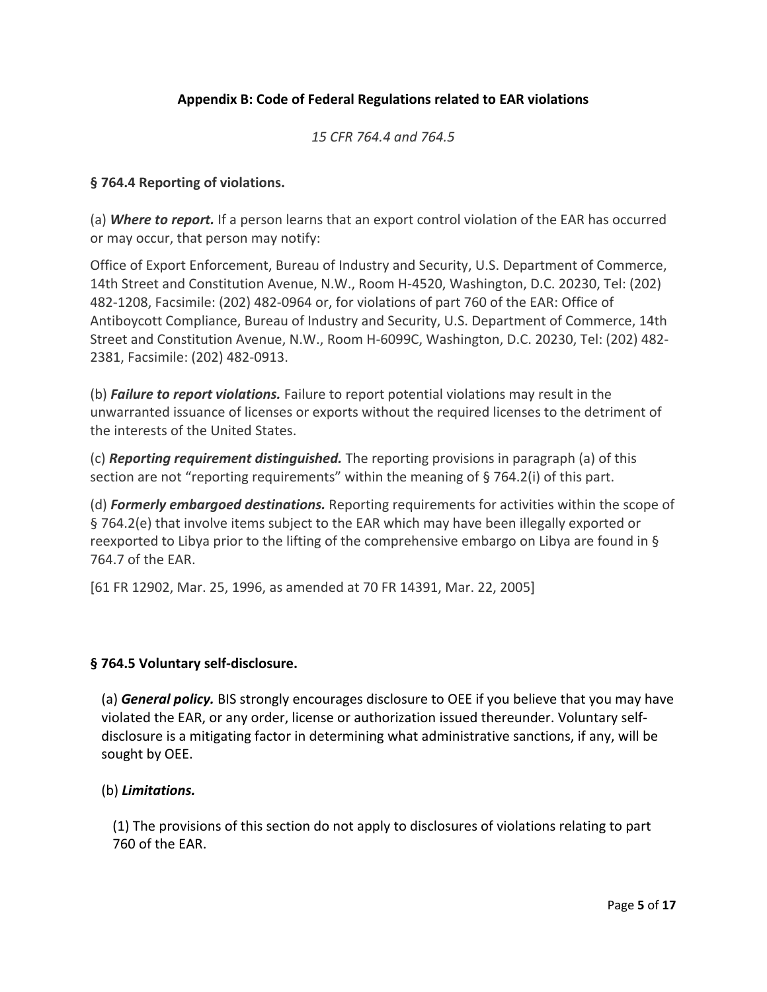# **Appendix B: Code of Federal Regulations related to EAR violations**

## *15 CFR 764.4 and 764.5*

# **§ 764.4 Reporting of violations.**

(a) *Where to report.* If a person learns that an export control violation of the EAR has occurred or may occur, that person may notify:

Office of Export Enforcement, Bureau of Industry and Security, U.S. Department of Commerce, 14th Street and Constitution Avenue, N.W., Room H-4520, Washington, D.C. 20230, Tel: (202) 482-1208, Facsimile: (202) 482-0964 or, for violations of part 760 of the EAR: Office of Antiboycott Compliance, Bureau of Industry and Security, U.S. Department of Commerce, 14th Street and Constitution Avenue, N.W., Room H-6099C, Washington, D.C. 20230, Tel: (202) 482- 2381, Facsimile: (202) 482-0913.

(b) *Failure to report violations.* Failure to report potential violations may result in the unwarranted issuance of licenses or exports without the required licenses to the detriment of the interests of the United States.

(c) *Reporting requirement distinguished.* The reporting provisions in paragraph (a) of this section are not "reporting requirements" within the meaning of § 764.2(i) of this part.

(d) *Formerly embargoed destinations.* Reporting requirements for activities within the scope of § 764.2(e) that involve items subject to the EAR which may have been illegally exported or reexported to Libya prior to the lifting of the comprehensive embargo on Libya are found in § 764.7 of the EAR.

[61 FR 12902, Mar. 25, 1996, as amended at 70 FR 14391, Mar. 22, 2005]

### **§ 764.5 Voluntary self-disclosure.**

(a) *General policy.* BIS strongly encourages disclosure to OEE if you believe that you may have violated the EAR, or any order, license or authorization issued thereunder. Voluntary selfdisclosure is a mitigating factor in determining what administrative sanctions, if any, will be sought by OEE.

### (b) *Limitations.*

(1) The provisions of this section do not apply to disclosures of violations relating to part 760 of the EAR.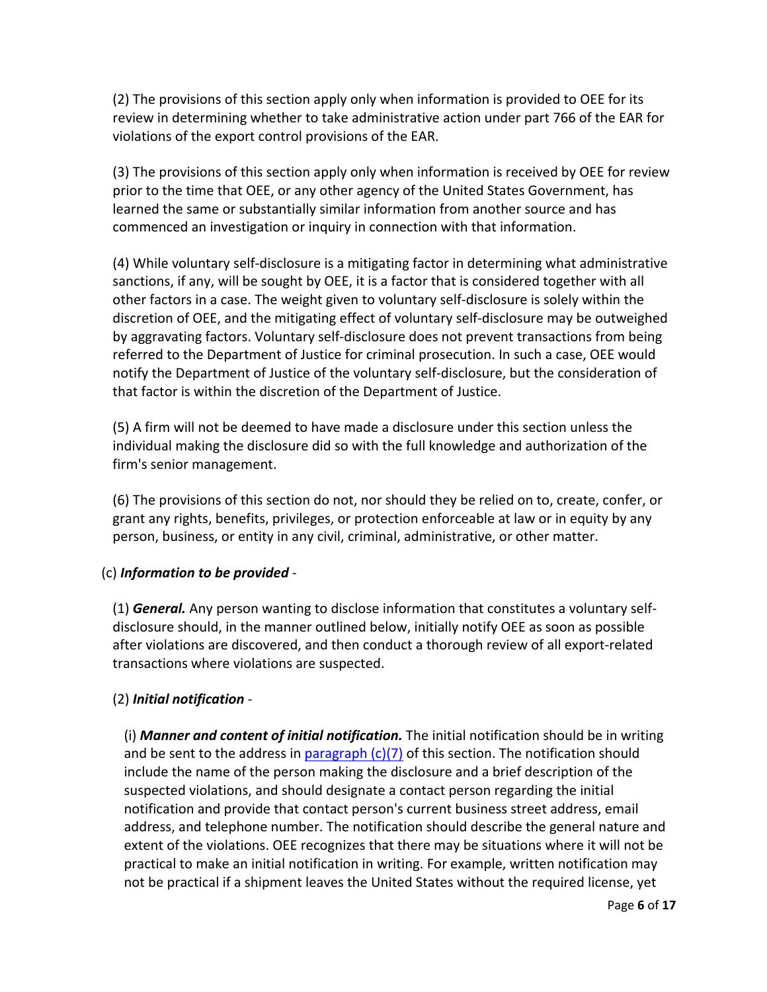(2) The provisions of this section apply only when information is provided to OEE for its review in determining whether to take administrative action under part 766 of the EAR for violations of the export control provisions of the EAR.

(3) The provisions of this section apply only when information is received by OEE for review prior to the time that OEE, or any other agency of the United States Government, has learned the same or substantially similar information from another source and has commenced an investigation or inquiry in connection with that information.

(4) While voluntary self-disclosure is a mitigating factor in determining what administrative sanctions, if any, will be sought by OEE, it is a factor that is considered together with all other factors in a case. The weight given to voluntary self-disclosure is solely within the discretion of OEE, and the mitigating effect of voluntary self-disclosure may be outweighed by aggravating factors. Voluntary self-disclosure does not prevent transactions from being referred to the Department of Justice for criminal prosecution. In such a case, OEE would notify the Department of Justice of the voluntary self-disclosure, but the consideration of that factor is within the discretion of the Department of Justice.

(5) A firm will not be deemed to have made a disclosure under this section unless the individual making the disclosure did so with the full knowledge and authorization of the firm's senior management.

(6) The provisions of this section do not, nor should they be relied on to, create, confer, or grant any rights, benefits, privileges, or protection enforceable at law or in equity by any person, business, or entity in any civil, criminal, administrative, or other matter.

# (c) *Information to be provided* -

(1) *General.* Any person wanting to disclose information that constitutes a voluntary selfdisclosure should, in the manner outlined below, initially notify OEE as soon as possible after violations are discovered, and then conduct a thorough review of all export-related transactions where violations are suspected.

# (2) *Initial notification* -

(i) *Manner and content of initial notification.* The initial notification should be in writing and be sent to the address in paragraph  $(c)(7)$  of this section. The notification should include the name of the person making the disclosure and a brief description of the suspected violations, and should designate a contact person regarding the initial notification and provide that contact person's current business street address, email address, and telephone number. The notification should describe the general nature and extent of the violations. OEE recognizes that there may be situations where it will not be practical to make an initial notification in writing. For example, written notification may not be practical if a shipment leaves the United States without the required license, yet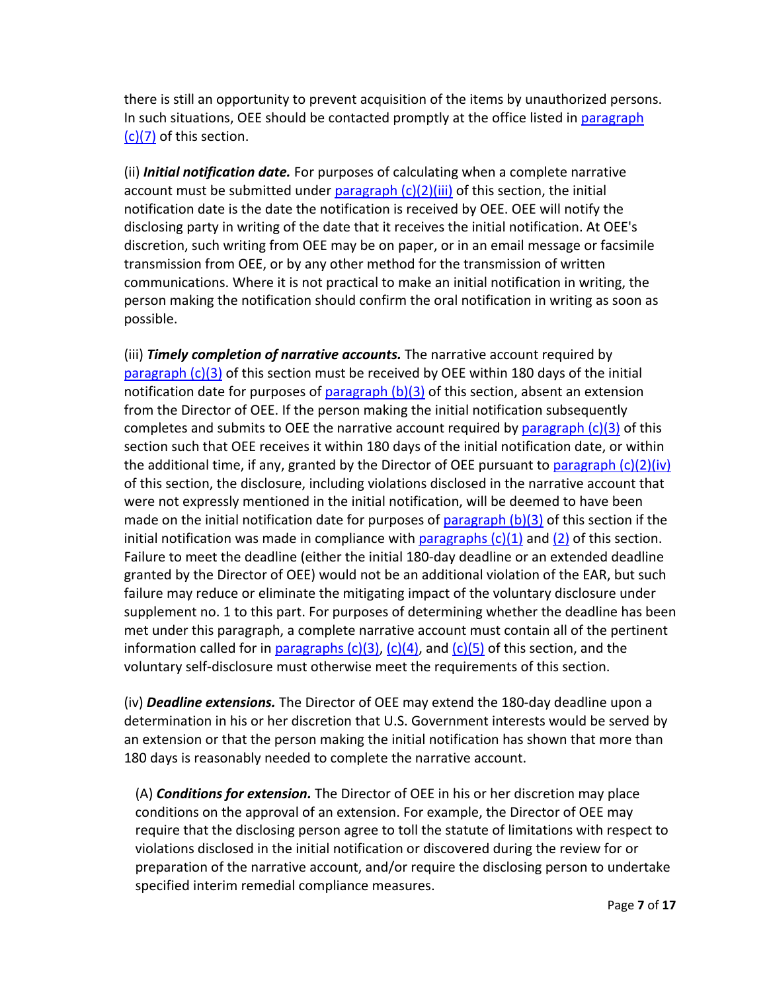there is still an opportunity to prevent acquisition of the items by unauthorized persons. In such situations, OEE should be contacted promptly at the office listed in [paragraph](https://www.ecfr.gov/current/title-15/section-764.5#p-764.5(c)(7))  [\(c\)\(7\)](https://www.ecfr.gov/current/title-15/section-764.5#p-764.5(c)(7)) of this section.

(ii) *Initial notification date.* For purposes of calculating when a complete narrative account must be submitted under paragraph  $(c)(2)(iii)$  of this section, the initial notification date is the date the notification is received by OEE. OEE will notify the disclosing party in writing of the date that it receives the initial notification. At OEE's discretion, such writing from OEE may be on paper, or in an email message or facsimile transmission from OEE, or by any other method for the transmission of written communications. Where it is not practical to make an initial notification in writing, the person making the notification should confirm the oral notification in writing as soon as possible.

(iii) *Timely completion of narrative accounts.* The narrative account required by [paragraph \(c\)\(3\)](https://www.ecfr.gov/current/title-15/section-764.5#p-764.5(c)(3)) of this section must be received by OEE within 180 days of the initial notification date for purposes of  $paragn (b)(3)$  of this section, absent an extension from the Director of OEE. If the person making the initial notification subsequently completes and submits to OEE the narrative account required by paragraph  $(c)(3)$  of this section such that OEE receives it within 180 days of the initial notification date, or within the additional time, if any, granted by the Director of OEE pursuant to paragraph  $(c)(2)(iv)$ of this section, the disclosure, including violations disclosed in the narrative account that were not expressly mentioned in the initial notification, will be deemed to have been made on the initial notification date for purposes of paragraph  $(b)(3)$  of this section if the initial notification was made in compliance with paragraphs  $(c)(1)$  and  $(2)$  of this section. Failure to meet the deadline (either the initial 180-day deadline or an extended deadline granted by the Director of OEE) would not be an additional violation of the EAR, but such failure may reduce or eliminate the mitigating impact of the voluntary disclosure under supplement no. 1 to this part. For purposes of determining whether the deadline has been met under this paragraph, a complete narrative account must contain all of the pertinent information called for in paragraphs  $(c)(3)$ ,  $(c)(4)$ , and  $(c)(5)$  of this section, and the voluntary self-disclosure must otherwise meet the requirements of this section.

(iv) *Deadline extensions.* The Director of OEE may extend the 180-day deadline upon a determination in his or her discretion that U.S. Government interests would be served by an extension or that the person making the initial notification has shown that more than 180 days is reasonably needed to complete the narrative account.

(A) *Conditions for extension.* The Director of OEE in his or her discretion may place conditions on the approval of an extension. For example, the Director of OEE may require that the disclosing person agree to toll the statute of limitations with respect to violations disclosed in the initial notification or discovered during the review for or preparation of the narrative account, and/or require the disclosing person to undertake specified interim remedial compliance measures.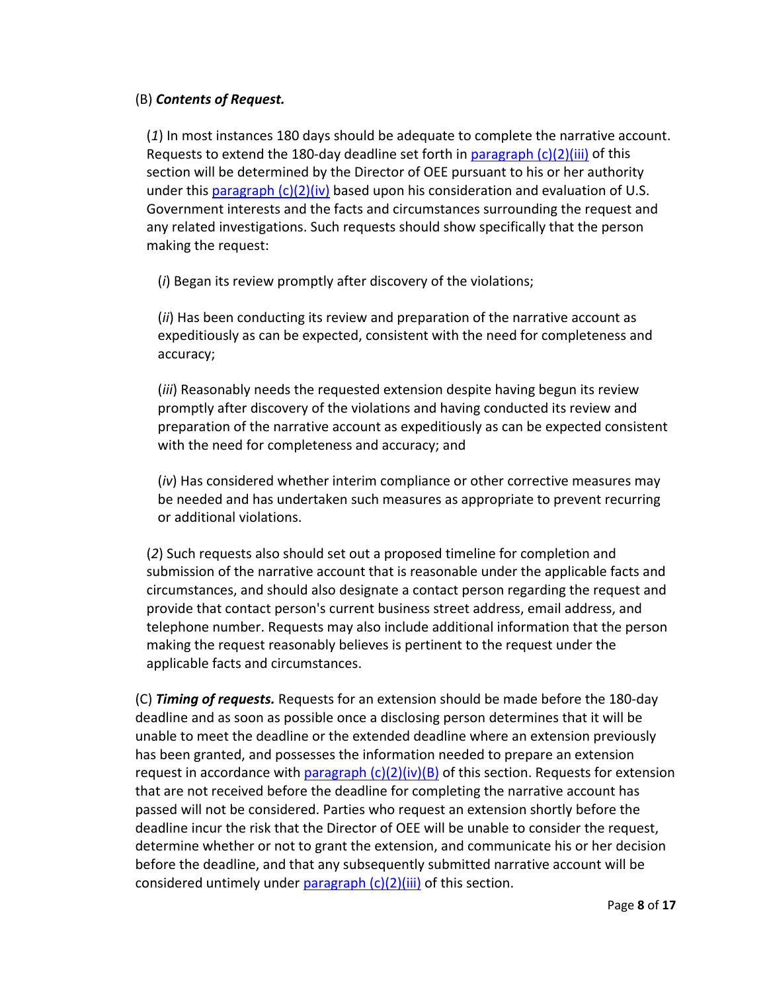# (B) *Contents of Request.*

(*1*) In most instances 180 days should be adequate to complete the narrative account. Requests to extend the 180-day deadline set forth in paragraph  $(c)(2)(iii)$  of this section will be determined by the Director of OEE pursuant to his or her authority under this paragraph  $(c)(2)(iv)$  based upon his consideration and evaluation of U.S. Government interests and the facts and circumstances surrounding the request and any related investigations. Such requests should show specifically that the person making the request:

(*i*) Began its review promptly after discovery of the violations;

(*ii*) Has been conducting its review and preparation of the narrative account as expeditiously as can be expected, consistent with the need for completeness and accuracy;

(*iii*) Reasonably needs the requested extension despite having begun its review promptly after discovery of the violations and having conducted its review and preparation of the narrative account as expeditiously as can be expected consistent with the need for completeness and accuracy; and

(*iv*) Has considered whether interim compliance or other corrective measures may be needed and has undertaken such measures as appropriate to prevent recurring or additional violations.

(*2*) Such requests also should set out a proposed timeline for completion and submission of the narrative account that is reasonable under the applicable facts and circumstances, and should also designate a contact person regarding the request and provide that contact person's current business street address, email address, and telephone number. Requests may also include additional information that the person making the request reasonably believes is pertinent to the request under the applicable facts and circumstances.

(C) *Timing of requests.* Requests for an extension should be made before the 180-day deadline and as soon as possible once a disclosing person determines that it will be unable to meet the deadline or the extended deadline where an extension previously has been granted, and possesses the information needed to prepare an extension request in accordance with paragraph  $(c)(2)(iv)(B)$  of this section. Requests for extension that are not received before the deadline for completing the narrative account has passed will not be considered. Parties who request an extension shortly before the deadline incur the risk that the Director of OEE will be unable to consider the request, determine whether or not to grant the extension, and communicate his or her decision before the deadline, and that any subsequently submitted narrative account will be considered untimely under paragraph  $(c)(2)(iii)$  of this section.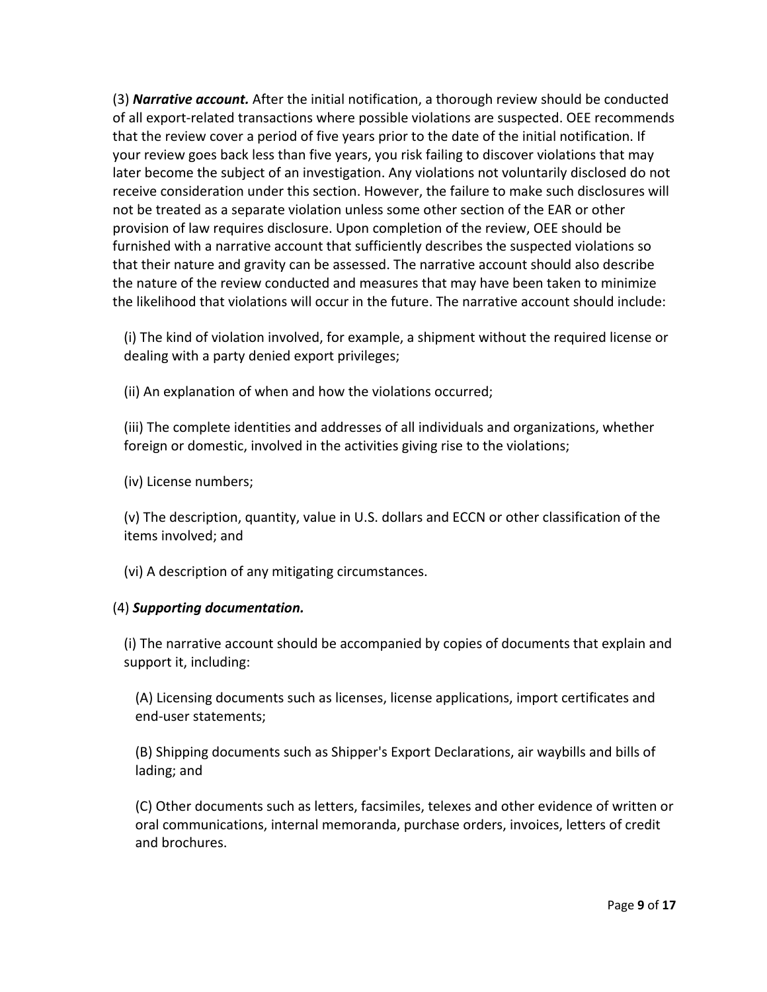(3) *Narrative account.* After the initial notification, a thorough review should be conducted of all export-related transactions where possible violations are suspected. OEE recommends that the review cover a period of five years prior to the date of the initial notification. If your review goes back less than five years, you risk failing to discover violations that may later become the subject of an investigation. Any violations not voluntarily disclosed do not receive consideration under this section. However, the failure to make such disclosures will not be treated as a separate violation unless some other section of the EAR or other provision of law requires disclosure. Upon completion of the review, OEE should be furnished with a narrative account that sufficiently describes the suspected violations so that their nature and gravity can be assessed. The narrative account should also describe the nature of the review conducted and measures that may have been taken to minimize the likelihood that violations will occur in the future. The narrative account should include:

(i) The kind of violation involved, for example, a shipment without the required license or dealing with a party denied export privileges;

(ii) An explanation of when and how the violations occurred;

(iii) The complete identities and addresses of all individuals and organizations, whether foreign or domestic, involved in the activities giving rise to the violations;

(iv) License numbers;

(v) The description, quantity, value in U.S. dollars and ECCN or other classification of the items involved; and

(vi) A description of any mitigating circumstances.

### (4) *Supporting documentation.*

(i) The narrative account should be accompanied by copies of documents that explain and support it, including:

(A) Licensing documents such as licenses, license applications, import certificates and end-user statements;

(B) Shipping documents such as Shipper's Export Declarations, air waybills and bills of lading; and

(C) Other documents such as letters, facsimiles, telexes and other evidence of written or oral communications, internal memoranda, purchase orders, invoices, letters of credit and brochures.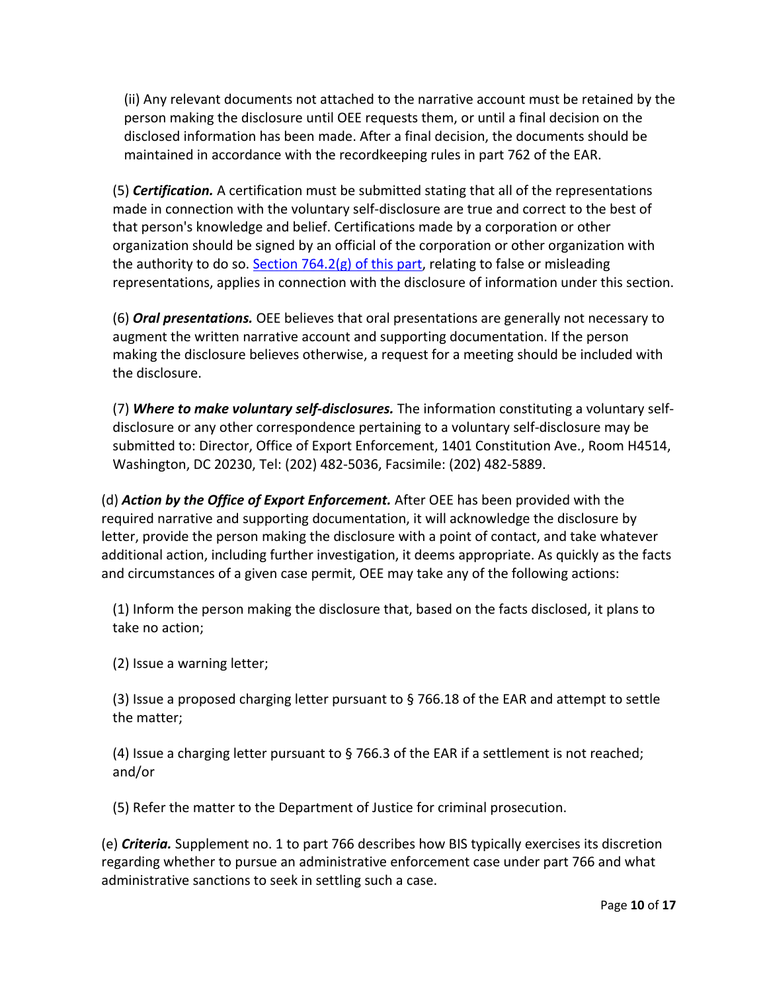(ii) Any relevant documents not attached to the narrative account must be retained by the person making the disclosure until OEE requests them, or until a final decision on the disclosed information has been made. After a final decision, the documents should be maintained in accordance with the recordkeeping rules in part 762 of the EAR.

(5) *Certification.* A certification must be submitted stating that all of the representations made in connection with the voluntary self-disclosure are true and correct to the best of that person's knowledge and belief. Certifications made by a corporation or other organization should be signed by an official of the corporation or other organization with the authority to do so. Section  $764.2(g)$  of this part, relating to false or misleading representations, applies in connection with the disclosure of information under this section.

(6) *Oral presentations.* OEE believes that oral presentations are generally not necessary to augment the written narrative account and supporting documentation. If the person making the disclosure believes otherwise, a request for a meeting should be included with the disclosure.

(7) *Where to make voluntary self-disclosures.* The information constituting a voluntary selfdisclosure or any other correspondence pertaining to a voluntary self-disclosure may be submitted to: Director, Office of Export Enforcement, 1401 Constitution Ave., Room H4514, Washington, DC 20230, Tel: (202) 482-5036, Facsimile: (202) 482-5889.

(d) *Action by the Office of Export Enforcement.* After OEE has been provided with the required narrative and supporting documentation, it will acknowledge the disclosure by letter, provide the person making the disclosure with a point of contact, and take whatever additional action, including further investigation, it deems appropriate. As quickly as the facts and circumstances of a given case permit, OEE may take any of the following actions:

(1) Inform the person making the disclosure that, based on the facts disclosed, it plans to take no action;

(2) Issue a warning letter;

(3) Issue a proposed charging letter pursuant to § 766.18 of the EAR and attempt to settle the matter;

(4) Issue a charging letter pursuant to § 766.3 of the EAR if a settlement is not reached; and/or

(5) Refer the matter to the Department of Justice for criminal prosecution.

(e) *Criteria.* Supplement no. 1 to part 766 describes how BIS typically exercises its discretion regarding whether to pursue an administrative enforcement case under part 766 and what administrative sanctions to seek in settling such a case.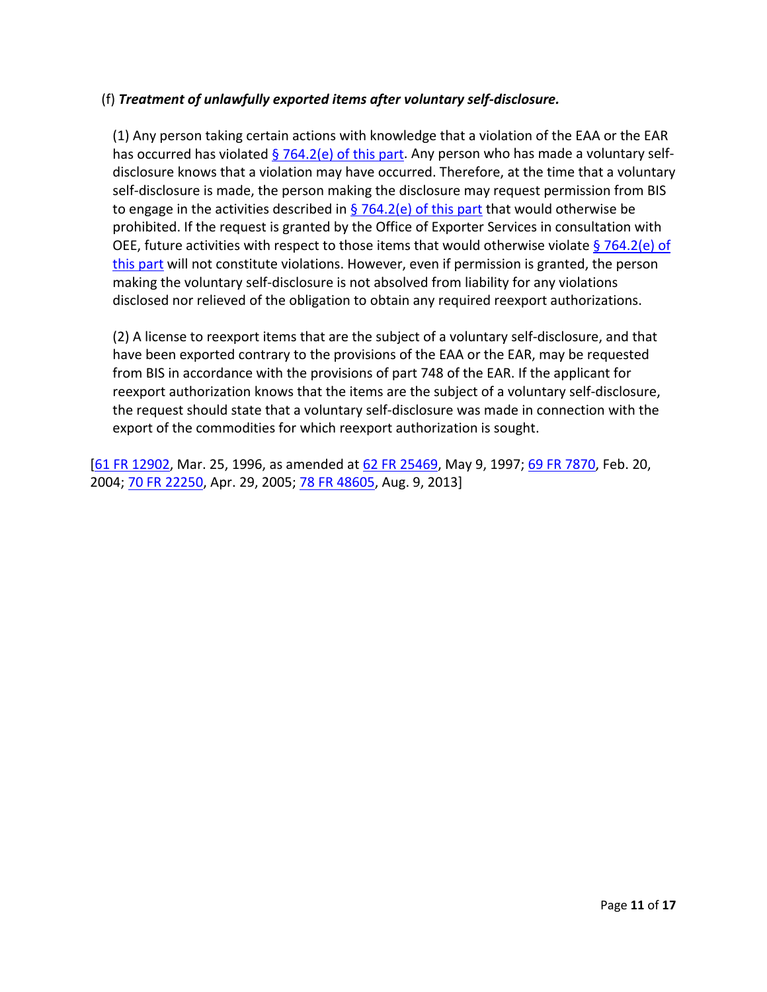# (f) *Treatment of unlawfully exported items after voluntary self-disclosure.*

(1) Any person taking certain actions with knowledge that a violation of the EAA or the EAR has occurred has violated [§ 764.2\(e\) of this part.](https://www.ecfr.gov/current/title-15/part-764/section-764.2#p-764.2(e)) Any person who has made a voluntary selfdisclosure knows that a violation may have occurred. Therefore, at the time that a voluntary self-disclosure is made, the person making the disclosure may request permission from BIS to engage in the activities described in  $\S$  764.2(e) of this part that would otherwise be prohibited. If the request is granted by the Office of Exporter Services in consultation with OEE, future activities with respect to those items that would otherwise violate § 764.2(e) of [this part](https://www.ecfr.gov/current/title-15/part-764/section-764.2#p-764.2(e)) will not constitute violations. However, even if permission is granted, the person making the voluntary self-disclosure is not absolved from liability for any violations disclosed nor relieved of the obligation to obtain any required reexport authorizations.

(2) A license to reexport items that are the subject of a voluntary self-disclosure, and that have been exported contrary to the provisions of the EAA or the EAR, may be requested from BIS in accordance with the provisions of part 748 of the EAR. If the applicant for reexport authorization knows that the items are the subject of a voluntary self-disclosure, the request should state that a voluntary self-disclosure was made in connection with the export of the commodities for which reexport authorization is sought.

[\[61 FR 12902,](https://www.federalregister.gov/citation/61-FR-12902) Mar. 25, 1996, as amended at [62 FR 25469,](https://www.federalregister.gov/citation/62-FR-25469) May 9, 1997; [69 FR 7870,](https://www.federalregister.gov/citation/69-FR-7870) Feb. 20, 2004; [70 FR 22250,](https://www.federalregister.gov/citation/70-FR-22250) Apr. 29, 2005; [78 FR 48605,](https://www.federalregister.gov/citation/78-FR-48605) Aug. 9, 2013]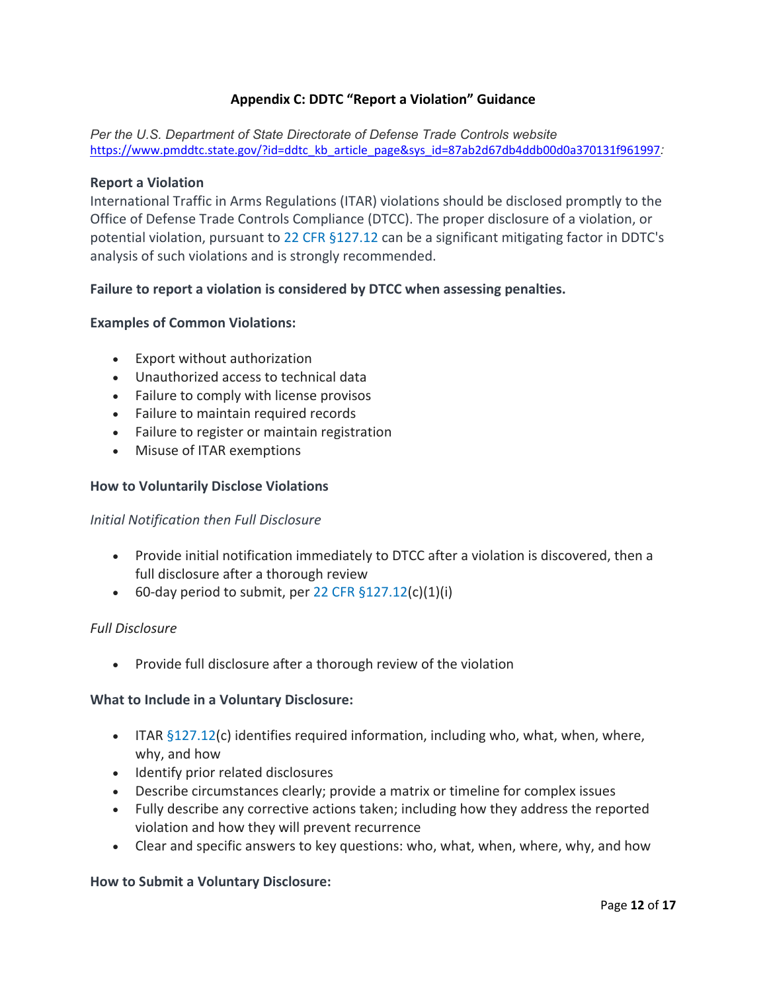# **Appendix C: DDTC "Report a Violation" Guidance**

*Per the U.S. Department of State Directorate of Defense Trade Controls website* [https://www.pmddtc.state.gov/?id=ddtc\\_kb\\_article\\_page&sys\\_id=87ab2d67db4ddb00d0a370131f961997](https://www.pmddtc.state.gov/?id=ddtc_kb_article_page&sys_id=87ab2d67db4ddb00d0a370131f961997)*:*

#### **Report a Violation**

International Traffic in Arms Regulations (ITAR) violations should be disclosed promptly to the Office of Defense Trade Controls Compliance (DTCC). The proper disclosure of a violation, or potential violation, pursuant to 22 [CFR §127.12](https://www.ecfr.gov/cgi-bin/text-idx?SID=b9cec17207a6c5c674db849ecec4263b&mc=true&node=se22.1.127_112&rgn=div8) can be a significant mitigating factor in DDTC's analysis of such violations and is strongly recommended.

### **Failure to report a violation is considered by DTCC when assessing penalties.**

### **Examples of Common Violations:**

- Export without authorization
- Unauthorized access to technical data
- Failure to comply with license provisos
- Failure to maintain required records
- Failure to register or maintain registration
- Misuse of ITAR exemptions

#### **How to Voluntarily Disclose Violations**

#### *Initial Notification then Full Disclosure*

- Provide initial notification immediately to DTCC after a violation is discovered, then a full disclosure after a thorough review
- 60-day period to submit, per 22 CFR  $$127.12(c)(1)(i)$

#### *Full Disclosure*

• Provide full disclosure after a thorough review of the violation

#### **What to Include in a Voluntary Disclosure:**

- ITAR [§127.12\(](https://www.ecfr.gov/cgi-bin/text-idx?SID=b9cec17207a6c5c674db849ecec4263b&mc=true&node=se22.1.127_112&rgn=div8)c) identifies required information, including who, what, when, where, why, and how
- Identify prior related disclosures
- Describe circumstances clearly; provide a matrix or timeline for complex issues
- Fully describe any corrective actions taken; including how they address the reported violation and how they will prevent recurrence
- Clear and specific answers to key questions: who, what, when, where, why, and how

#### **How to Submit a Voluntary Disclosure:**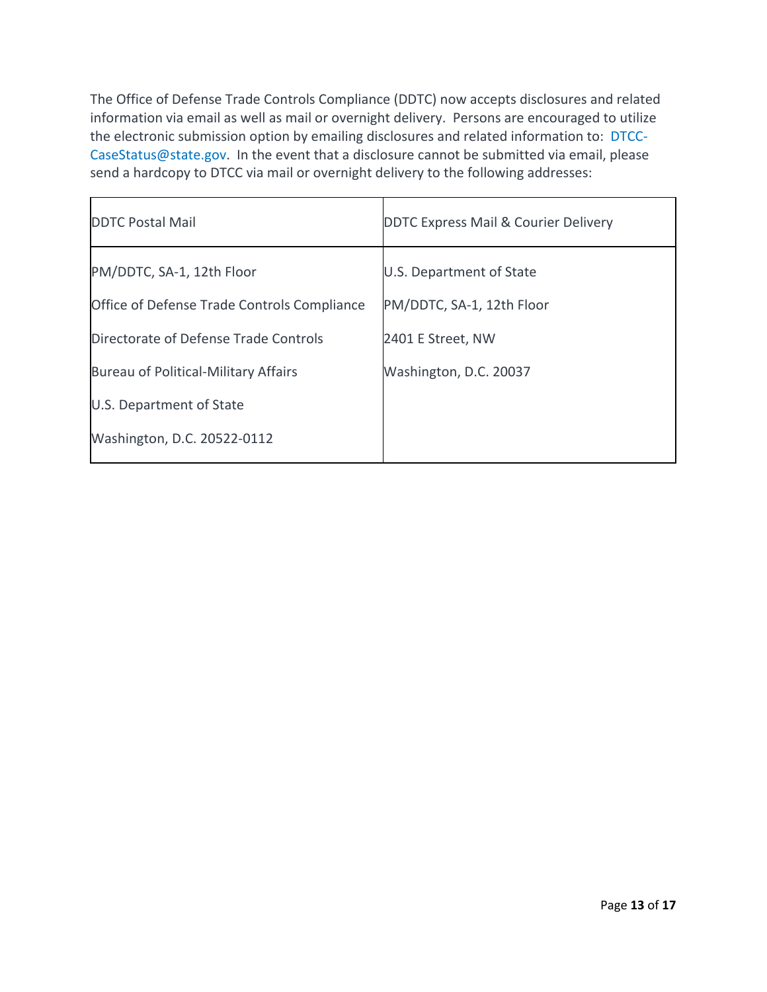The Office of Defense Trade Controls Compliance (DDTC) now accepts disclosures and related information via email as well as mail or overnight delivery. Persons are encouraged to utilize the electronic submission option by emailing disclosures and related information to: [DTCC-](mailto:DTCC-CaseStatus@state.gov)[CaseStatus@state.gov.](mailto:DTCC-CaseStatus@state.gov) In the event that a disclosure cannot be submitted via email, please send a hardcopy to DTCC via mail or overnight delivery to the following addresses:

| <b>DDTC Postal Mail</b>                     | <b>DDTC Express Mail &amp; Courier Delivery</b> |
|---------------------------------------------|-------------------------------------------------|
| PM/DDTC, SA-1, 12th Floor                   | U.S. Department of State                        |
| Office of Defense Trade Controls Compliance | PM/DDTC, SA-1, 12th Floor                       |
| Directorate of Defense Trade Controls       | 2401 E Street, NW                               |
| Bureau of Political-Military Affairs        | Washington, D.C. 20037                          |
| U.S. Department of State                    |                                                 |
| Washington, D.C. 20522-0112                 |                                                 |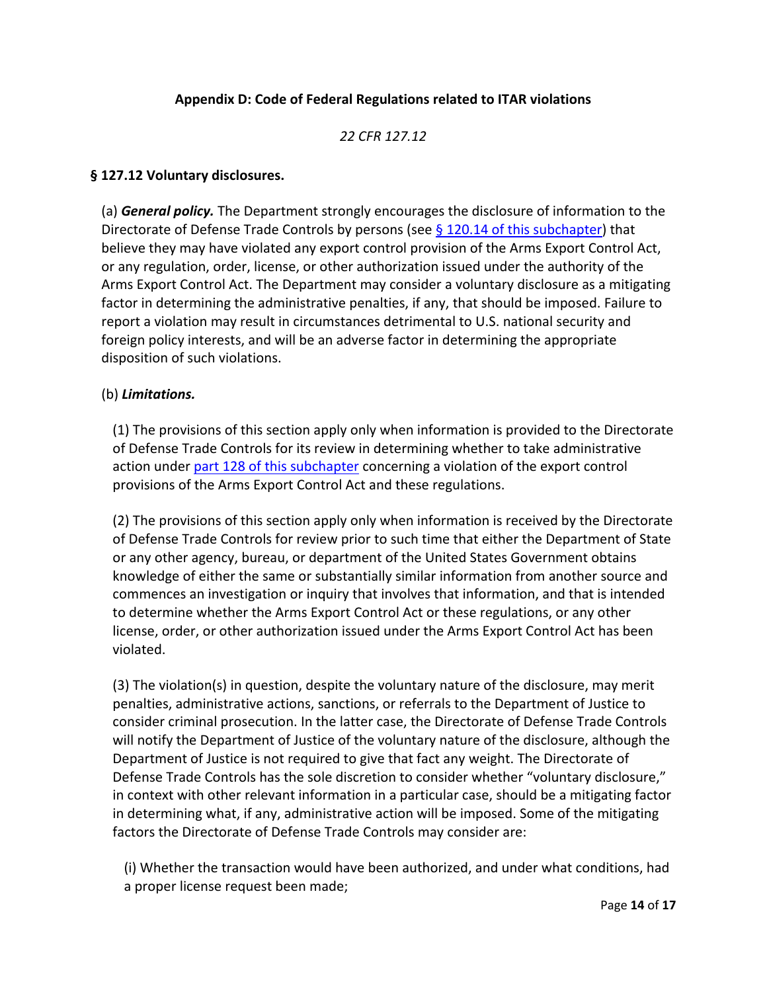# **Appendix D: Code of Federal Regulations related to ITAR violations**

## *22 CFR 127.12*

### **§ 127.12 Voluntary disclosures.**

(a) *General policy.* The Department strongly encourages the disclosure of information to the Directorate of Defense Trade Controls by persons (see  $\S$  120.14 of this subchapter) that believe they may have violated any export control provision of the Arms Export Control Act, or any regulation, order, license, or other authorization issued under the authority of the Arms Export Control Act. The Department may consider a voluntary disclosure as a mitigating factor in determining the administrative penalties, if any, that should be imposed. Failure to report a violation may result in circumstances detrimental to U.S. national security and foreign policy interests, and will be an adverse factor in determining the appropriate disposition of such violations.

#### (b) *Limitations.*

(1) The provisions of this section apply only when information is provided to the Directorate of Defense Trade Controls for its review in determining whether to take administrative action unde[r part 128 of this subchapter](https://www.ecfr.gov/current/title-22/part-128) concerning a violation of the export control provisions of the Arms Export Control Act and these regulations.

(2) The provisions of this section apply only when information is received by the Directorate of Defense Trade Controls for review prior to such time that either the Department of State or any other agency, bureau, or department of the United States Government obtains knowledge of either the same or substantially similar information from another source and commences an investigation or inquiry that involves that information, and that is intended to determine whether the Arms Export Control Act or these regulations, or any other license, order, or other authorization issued under the Arms Export Control Act has been violated.

(3) The violation(s) in question, despite the voluntary nature of the disclosure, may merit penalties, administrative actions, sanctions, or referrals to the Department of Justice to consider criminal prosecution. In the latter case, the Directorate of Defense Trade Controls will notify the Department of Justice of the voluntary nature of the disclosure, although the Department of Justice is not required to give that fact any weight. The Directorate of Defense Trade Controls has the sole discretion to consider whether "voluntary disclosure," in context with other relevant information in a particular case, should be a mitigating factor in determining what, if any, administrative action will be imposed. Some of the mitigating factors the Directorate of Defense Trade Controls may consider are:

(i) Whether the transaction would have been authorized, and under what conditions, had a proper license request been made;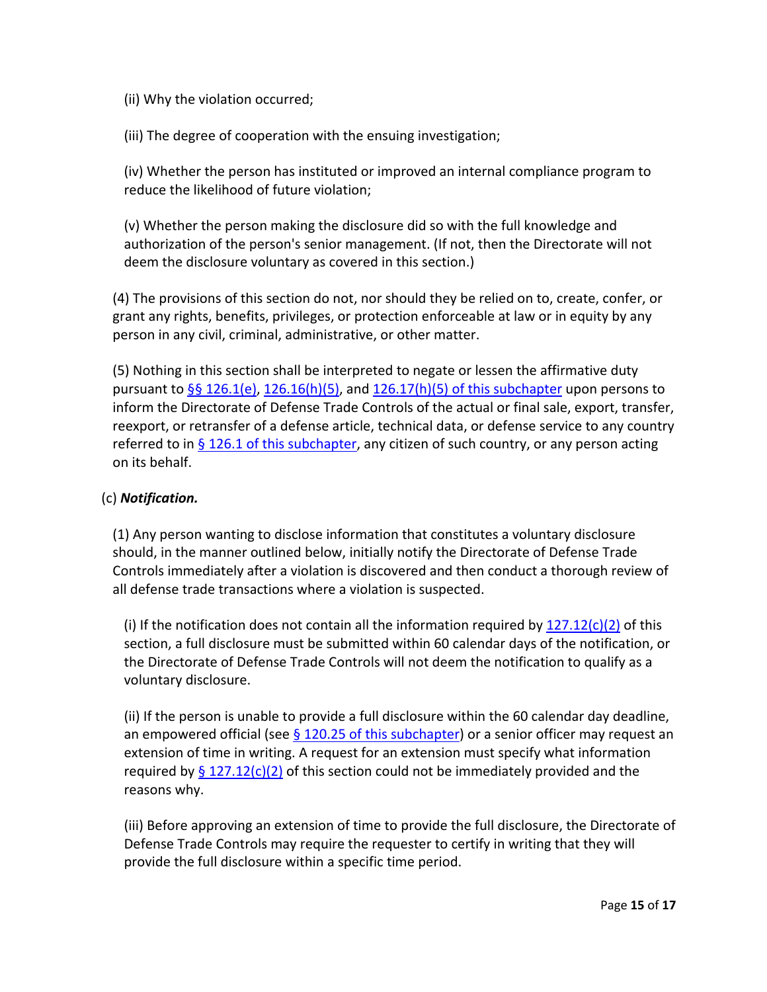- (ii) Why the violation occurred;
- (iii) The degree of cooperation with the ensuing investigation;

(iv) Whether the person has instituted or improved an internal compliance program to reduce the likelihood of future violation;

(v) Whether the person making the disclosure did so with the full knowledge and authorization of the person's senior management. (If not, then the Directorate will not deem the disclosure voluntary as covered in this section.)

(4) The provisions of this section do not, nor should they be relied on to, create, confer, or grant any rights, benefits, privileges, or protection enforceable at law or in equity by any person in any civil, criminal, administrative, or other matter.

(5) Nothing in this section shall be interpreted to negate or lessen the affirmative duty pursuant to [§§ 126.1\(e\),](https://www.ecfr.gov/current/title-22/section-126.1#p-126.1(e)) [126.16\(h\)\(5\),](https://www.ecfr.gov/current/title-22/section-126.16#p-126.16(h)(5)) and [126.17\(h\)\(5\) of this subchapter](https://www.ecfr.gov/current/title-22/section-126.17#p-126.17(h)(5)) upon persons to inform the Directorate of Defense Trade Controls of the actual or final sale, export, transfer, reexport, or retransfer of a defense article, technical data, or defense service to any country referred to in  $\S 126.1$  of this subchapter, any citizen of such country, or any person acting on its behalf.

## (c) *Notification.*

(1) Any person wanting to disclose information that constitutes a voluntary disclosure should, in the manner outlined below, initially notify the Directorate of Defense Trade Controls immediately after a violation is discovered and then conduct a thorough review of all defense trade transactions where a violation is suspected.

(i) If the notification does not contain all the information required by  $127.12(c)(2)$  of this section, a full disclosure must be submitted within 60 calendar days of the notification, or the Directorate of Defense Trade Controls will not deem the notification to qualify as a voluntary disclosure.

(ii) If the person is unable to provide a full disclosure within the 60 calendar day deadline, an empowered official (see  $\S$  120.25 of this subchapter) or a senior officer may request an extension of time in writing. A request for an extension must specify what information required by  $\S 127.12(c)(2)$  of this section could not be immediately provided and the reasons why.

(iii) Before approving an extension of time to provide the full disclosure, the Directorate of Defense Trade Controls may require the requester to certify in writing that they will provide the full disclosure within a specific time period.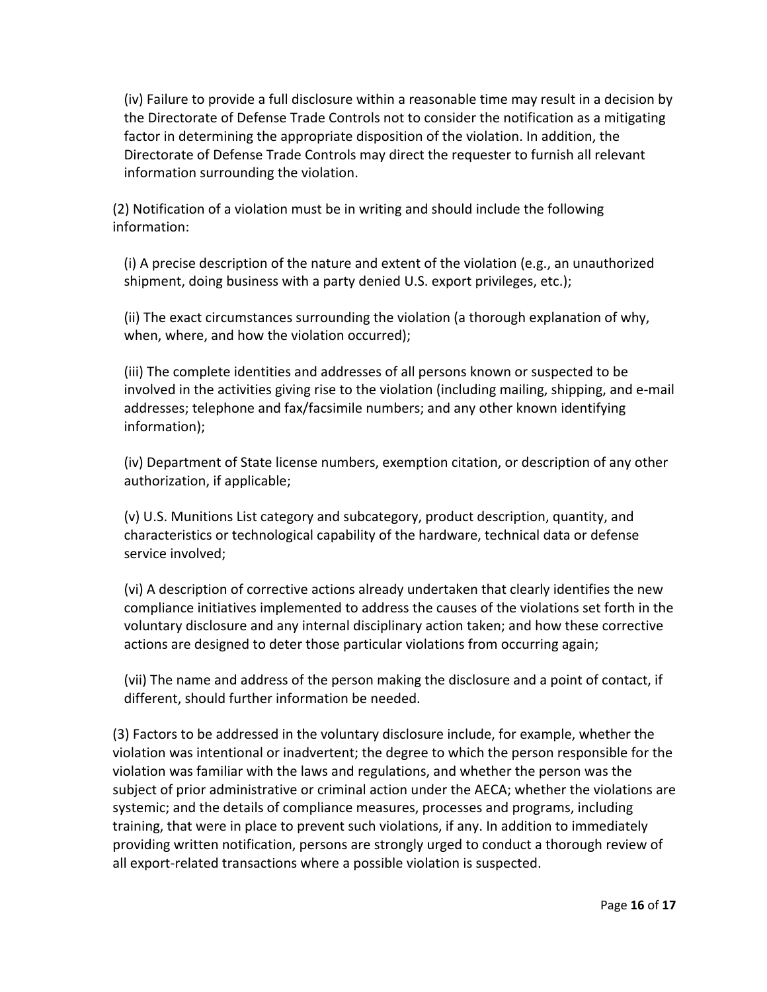(iv) Failure to provide a full disclosure within a reasonable time may result in a decision by the Directorate of Defense Trade Controls not to consider the notification as a mitigating factor in determining the appropriate disposition of the violation. In addition, the Directorate of Defense Trade Controls may direct the requester to furnish all relevant information surrounding the violation.

(2) Notification of a violation must be in writing and should include the following information:

(i) A precise description of the nature and extent of the violation (e.g., an unauthorized shipment, doing business with a party denied U.S. export privileges, etc.);

(ii) The exact circumstances surrounding the violation (a thorough explanation of why, when, where, and how the violation occurred);

(iii) The complete identities and addresses of all persons known or suspected to be involved in the activities giving rise to the violation (including mailing, shipping, and e-mail addresses; telephone and fax/facsimile numbers; and any other known identifying information);

(iv) Department of State license numbers, exemption citation, or description of any other authorization, if applicable;

(v) U.S. Munitions List category and subcategory, product description, quantity, and characteristics or technological capability of the hardware, technical data or defense service involved;

(vi) A description of corrective actions already undertaken that clearly identifies the new compliance initiatives implemented to address the causes of the violations set forth in the voluntary disclosure and any internal disciplinary action taken; and how these corrective actions are designed to deter those particular violations from occurring again;

(vii) The name and address of the person making the disclosure and a point of contact, if different, should further information be needed.

(3) Factors to be addressed in the voluntary disclosure include, for example, whether the violation was intentional or inadvertent; the degree to which the person responsible for the violation was familiar with the laws and regulations, and whether the person was the subject of prior administrative or criminal action under the AECA; whether the violations are systemic; and the details of compliance measures, processes and programs, including training, that were in place to prevent such violations, if any. In addition to immediately providing written notification, persons are strongly urged to conduct a thorough review of all export-related transactions where a possible violation is suspected.